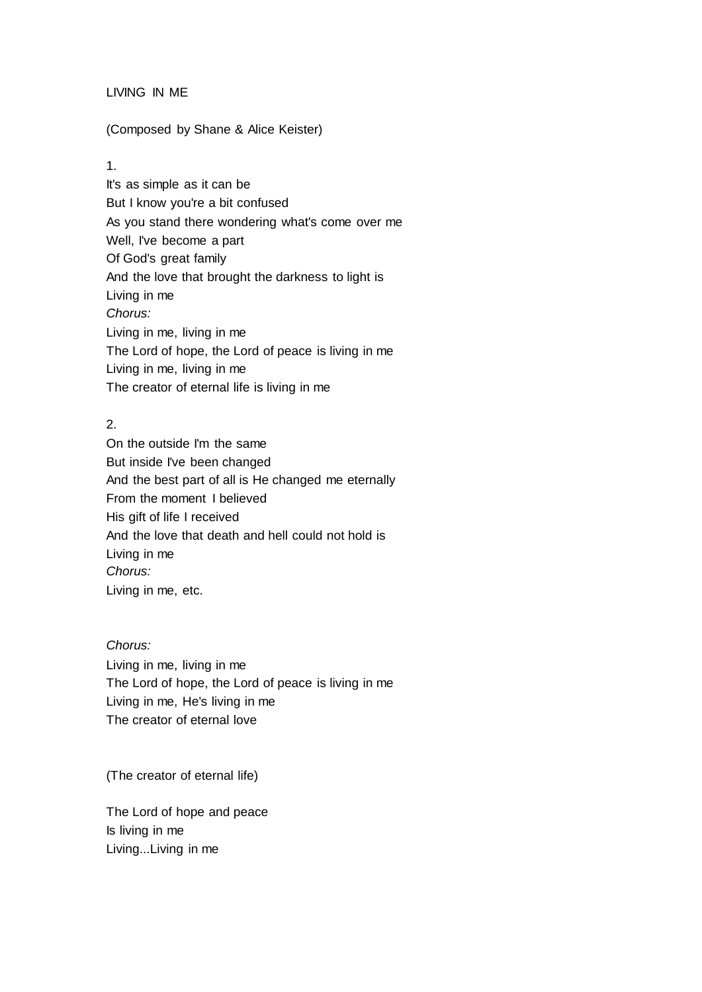#### LIVING IN ME

(Composed by Shane & Alice Keister)

## 1.

It's as simple as it can be But I know you're a bit confused As you stand there wondering what's come over me Well, I've become a part Of God's great family And the love that brought the darkness to light is Living in me *Chorus:* Living in me, living in me The Lord of hope, the Lord of peace is living in me Living in me, living in me The creator of eternal life is living in me

# 2.

On the outside I'm the same But inside I've been changed And the best part of all is He changed me eternally From the moment I believed His gift of life I received And the love that death and hell could not hold is Living in me *Chorus:* Living in me, etc.

## *Chorus:*

Living in me, living in me The Lord of hope, the Lord of peace is living in me Living in me, He's living in me The creator of eternal love

(The creator of eternal life)

The Lord of hope and peace Is living in me Living...Living in me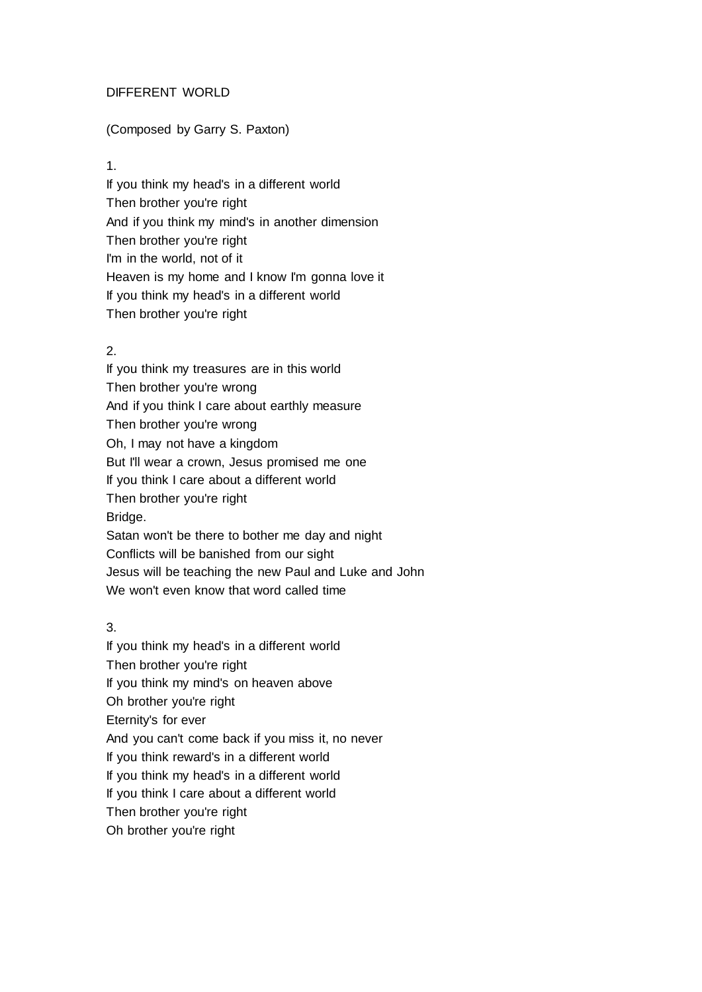#### DIFFERENT WORLD

(Composed by Garry S. Paxton)

### 1.

If you think my head's in a different world Then brother you're right And if you think my mind's in another dimension Then brother you're right I'm in the world, not of it Heaven is my home and I know I'm gonna love it If you think my head's in a different world Then brother you're right

## 2.

If you think my treasures are in this world Then brother you're wrong And if you think I care about earthly measure Then brother you're wrong Oh, I may not have a kingdom But I'll wear a crown, Jesus promised me one If you think I care about a different world Then brother you're right Bridge. Satan won't be there to bother me day and night Conflicts will be banished from our sight Jesus will be teaching the new Paul and Luke and John We won't even know that word called time

# 3.

If you think my head's in a different world Then brother you're right If you think my mind's on heaven above Oh brother you're right Eternity's for ever And you can't come back if you miss it, no never If you think reward's in a different world If you think my head's in a different world If you think I care about a different world Then brother you're right Oh brother you're right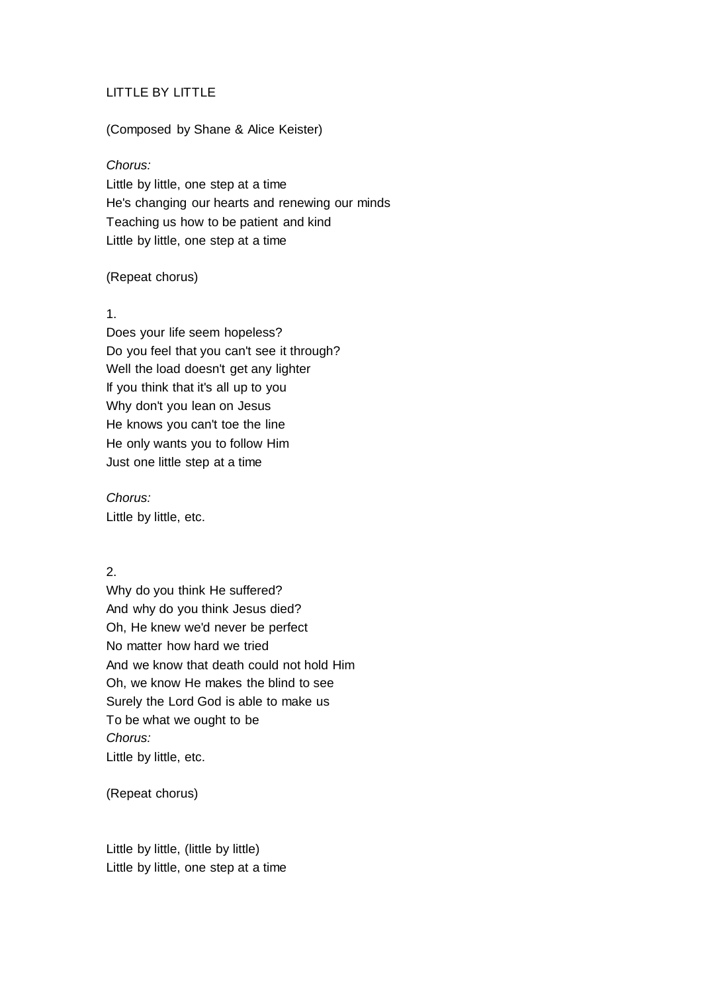### LITTLE BY LITTLE

(Composed by Shane & Alice Keister)

## *Chorus:*

Little by little, one step at a time He's changing our hearts and renewing our minds Teaching us how to be patient and kind Little by little, one step at a time

#### (Repeat chorus)

1.

Does your life seem hopeless? Do you feel that you can't see it through? Well the load doesn't get any lighter If you think that it's all up to you Why don't you lean on Jesus He knows you can't toe the line He only wants you to follow Him Just one little step at a time

*Chorus:* Little by little, etc.

2.

Why do you think He suffered? And why do you think Jesus died? Oh, He knew we'd never be perfect No matter how hard we tried And we know that death could not hold Him Oh, we know He makes the blind to see Surely the Lord God is able to make us To be what we ought to be *Chorus:* Little by little, etc.

(Repeat chorus)

Little by little, (little by little) Little by little, one step at a time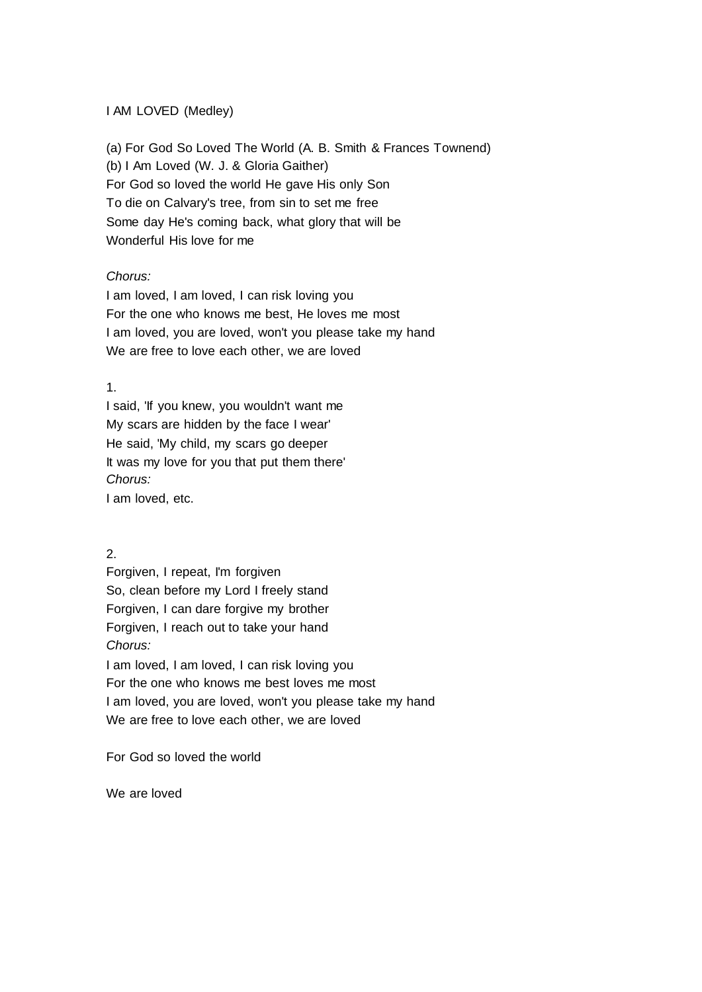## I AM LOVED (Medley)

(a) For God So Loved The World (A. B. Smith & Frances Townend) (b) I Am Loved (W. J. & Gloria Gaither) For God so loved the world He gave His only Son To die on Calvary's tree, from sin to set me free Some day He's coming back, what glory that will be Wonderful His love for me

## *Chorus:*

I am loved, I am loved, I can risk loving you For the one who knows me best, He loves me most I am loved, you are loved, won't you please take my hand We are free to love each other, we are loved

## 1.

I said, 'If you knew, you wouldn't want me My scars are hidden by the face I wear' He said, 'My child, my scars go deeper It was my love for you that put them there' *Chorus:*

I am loved, etc.

## 2.

Forgiven, I repeat, I'm forgiven So, clean before my Lord I freely stand Forgiven, I can dare forgive my brother Forgiven, I reach out to take your hand *Chorus:*

I am loved, I am loved, I can risk loving you For the one who knows me best loves me most I am loved, you are loved, won't you please take my hand We are free to love each other, we are loved

For God so loved the world

We are loved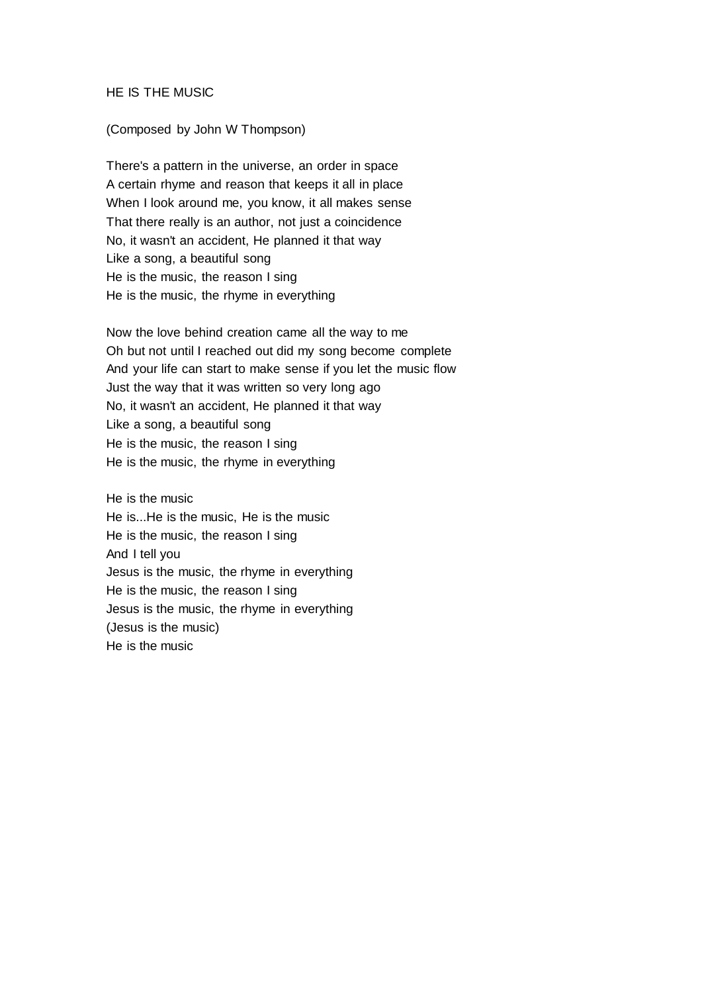#### HE IS THE MUSIC

#### (Composed by John W Thompson)

There's a pattern in the universe, an order in space A certain rhyme and reason that keeps it all in place When I look around me, you know, it all makes sense That there really is an author, not just a coincidence No, it wasn't an accident, He planned it that way Like a song, a beautiful song He is the music, the reason I sing He is the music, the rhyme in everything

Now the love behind creation came all the way to me Oh but not until I reached out did my song become complete And your life can start to make sense if you let the music flow Just the way that it was written so very long ago No, it wasn't an accident, He planned it that way Like a song, a beautiful song He is the music, the reason I sing He is the music, the rhyme in everything

He is the music He is...He is the music, He is the music He is the music, the reason I sing And I tell you Jesus is the music, the rhyme in everything He is the music, the reason I sing Jesus is the music, the rhyme in everything (Jesus is the music) He is the music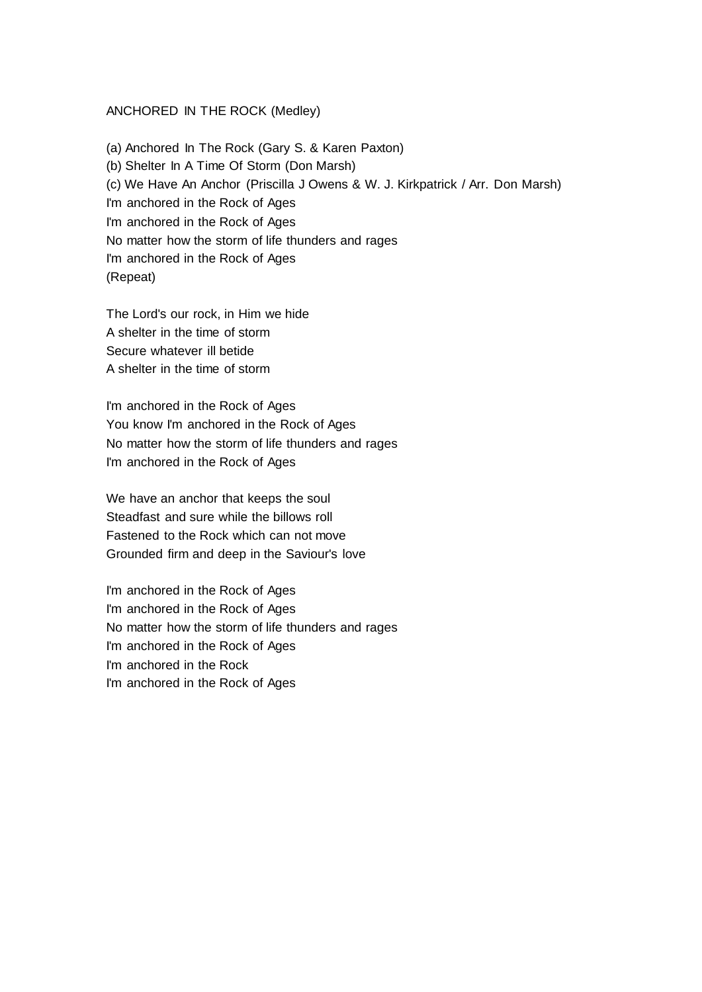### ANCHORED IN THE ROCK (Medley)

(a) Anchored In The Rock (Gary S. & Karen Paxton) (b) Shelter In A Time Of Storm (Don Marsh) (c) We Have An Anchor (Priscilla J Owens & W. J. Kirkpatrick / Arr. Don Marsh) I'm anchored in the Rock of Ages I'm anchored in the Rock of Ages No matter how the storm of life thunders and rages I'm anchored in the Rock of Ages (Repeat)

The Lord's our rock, in Him we hide A shelter in the time of storm Secure whatever ill betide A shelter in the time of storm

I'm anchored in the Rock of Ages You know I'm anchored in the Rock of Ages No matter how the storm of life thunders and rages I'm anchored in the Rock of Ages

We have an anchor that keeps the soul Steadfast and sure while the billows roll Fastened to the Rock which can not move Grounded firm and deep in the Saviour's love

I'm anchored in the Rock of Ages I'm anchored in the Rock of Ages No matter how the storm of life thunders and rages I'm anchored in the Rock of Ages I'm anchored in the Rock I'm anchored in the Rock of Ages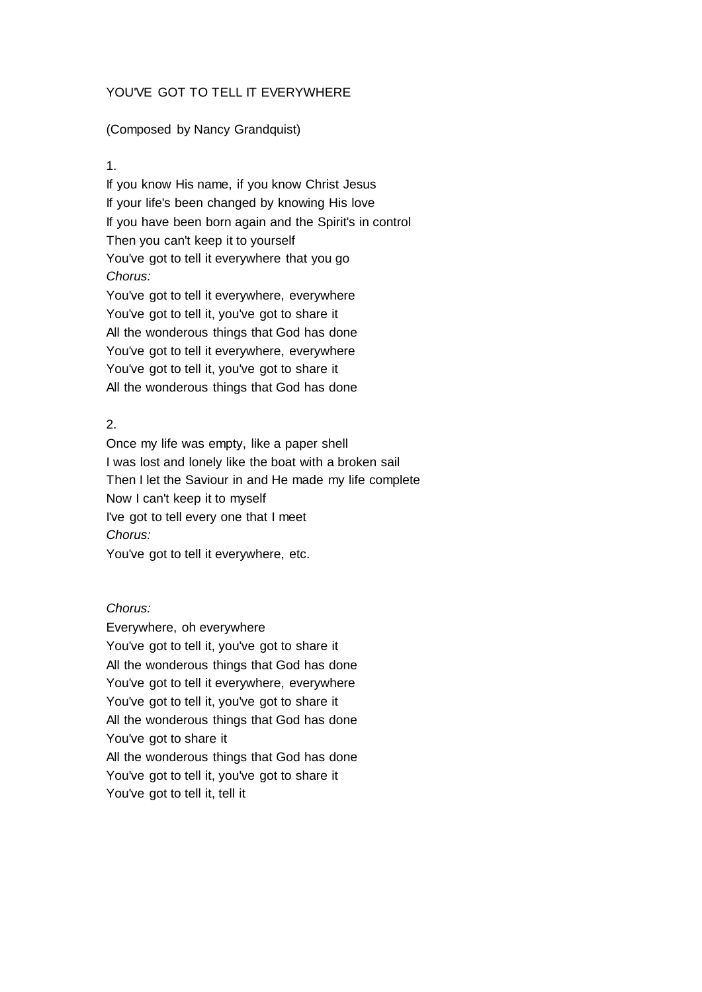## YOU'VE GOT TO TELL IT EVERYWHERE

### (Composed by Nancy Grandquist)

### 1.

If you know His name, if you know Christ Jesus If your life's been changed by knowing His love If you have been born again and the Spirit's in control Then you can't keep it to yourself You've got to tell it everywhere that you go *Chorus:*

You've got to tell it everywhere, everywhere You've got to tell it, you've got to share it All the wonderous things that God has done You've got to tell it everywhere, everywhere You've got to tell it, you've got to share it All the wonderous things that God has done

## 2.

Once my life was empty, like a paper shell I was lost and lonely like the boat with a broken sail Then I let the Saviour in and He made my life complete Now I can't keep it to myself I've got to tell every one that I meet *Chorus:*

You've got to tell it everywhere, etc.

## *Chorus:*

Everywhere, oh everywhere You've got to tell it, you've got to share it All the wonderous things that God has done You've got to tell it everywhere, everywhere You've got to tell it, you've got to share it All the wonderous things that God has done You've got to share it All the wonderous things that God has done You've got to tell it, you've got to share it You've got to tell it, tell it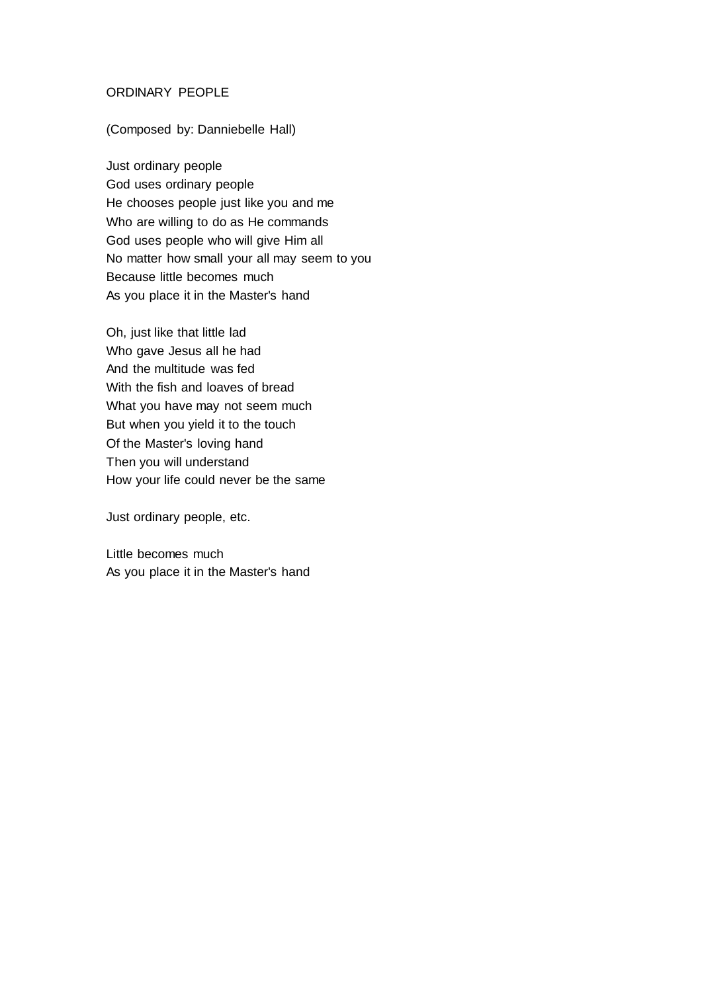### ORDINARY PEOPLE

(Composed by: Danniebelle Hall)

Just ordinary people God uses ordinary people He chooses people just like you and me Who are willing to do as He commands God uses people who will give Him all No matter how small your all may seem to you Because little becomes much As you place it in the Master's hand

Oh, just like that little lad Who gave Jesus all he had And the multitude was fed With the fish and loaves of bread What you have may not seem much But when you yield it to the touch Of the Master's loving hand Then you will understand How your life could never be the same

Just ordinary people, etc.

Little becomes much As you place it in the Master's hand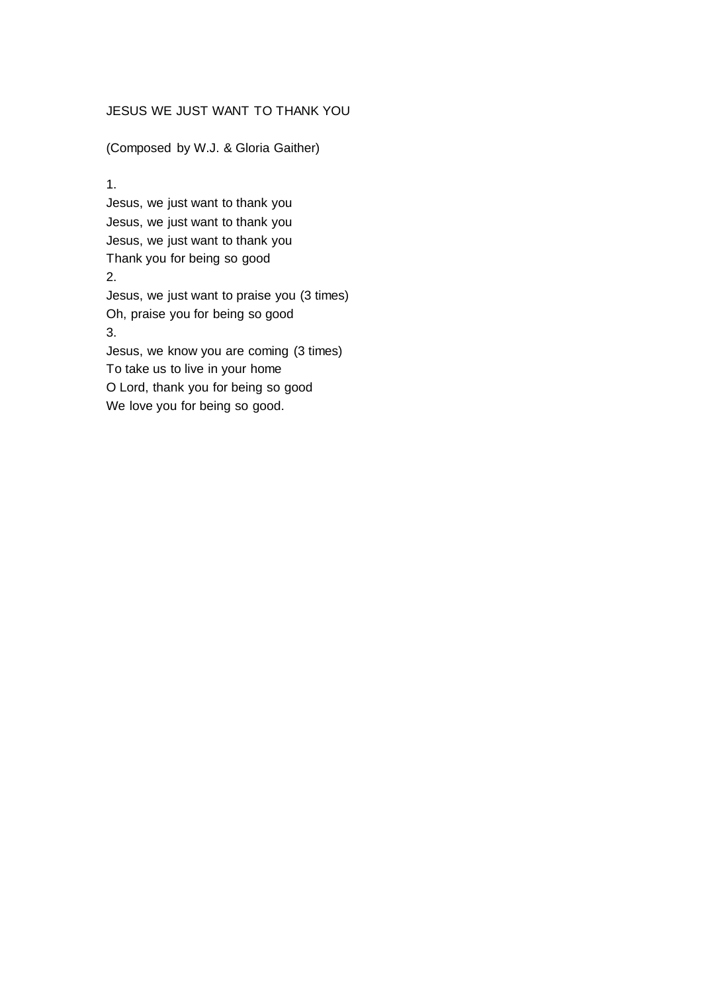# JESUS WE JUST WANT TO THANK YOU

(Composed by W.J. & Gloria Gaither)

1.

Jesus, we just want to thank you Jesus, we just want to thank you Jesus, we just want to thank you Thank you for being so good 2. Jesus, we just want to praise you (3 times) Oh, praise you for being so good 3. Jesus, we know you are coming (3 times) To take us to live in your home

O Lord, thank you for being so good

We love you for being so good.